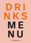

#### **THE MARTELLO**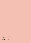#### **TAG US IN YOUR COCKTAIL PHOTOS**

i:@themartellobray

۰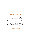#### *Welcome to The Martello*

We hope you enjoy our range of cocktails, wines, beers and spirits.

We like to mix things up sometimes with cocktail and drinks specials so be sure to visit our Instagram page to see the latest creations from our team of mixologists.

*@themartellobray*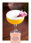#### **PORNSTAR MARTINI**

*Vanilla Vodka, Passion Fruit Purée, Prosecco, Lime Juice, Apple Juice*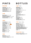#### *Stout/Ale*

**Guinness** *5.50 / 3.35* **Islands Edge** *5.50 / 3.35* **Smithwicks** *5.50 / 3.35* **Guinness 0% (N/A)** *5.00*

#### *Craft*

**Blue Moon** *6.20 / 3.60* **Elevation Pale Ale** *6.20 / 3.60* **Dreamcatcher** *6.20 / 3.60*

#### *Lager*

**Carlsberg** *6.10 / 3.60* **Coors Light** *6.10 / 3.60* **Corona** *6.50 / 3.70 New***Heineken** *6.10 / 3.60* **Hop House** *6.10 / 3.60* **Rockshore** *6.10 / 3.60* **Madri** *6.50 / 3.70* **Moretti** *6.50 / 3.70* **Peroni** *6.70/ 3.80*

### *Cider*

**Bulmers** *6.10 / 3.60* **Orchards Thieves** *6.10 / 3.60*

### **PINTS BOTTLES**

#### *Lager 330ml*

**Budweiser** *5.30* **Coors Light** *5.30* **Corona** *5.80 (now available on tap)* **Desperado** *5.80* **Heineken** *5.30* **Peroni** *5.80* **Peroni Gluten Free** *5.80* **Ritz** *5.40* **Rockshore** *5.30* **Erdinger (N/A)** *5.00* **Heineken 0% (N/A)** *4.70*

#### *Cider 500ml / 330ml*

**Bulmers** *6.50/ 5.30* **Orchard Thieves** *6.50* **Rockshore Cider** *6.50* **Kopperberg Mixed Fruit** *7.00* **Kopperberg Strawberry & Lime** *7.00*

#### *Ginger Beer 500ml*

**Hollows Ginger Beer (GF)** *7.00*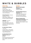### **WHITE & BUBBLES**

#### *White Wine*

#### **Camino del Rey Reserve**

*6.20/25.00 Sauvignon Blanc / Chile* Light and refreshing with mouth-watering tropical and citrus fruit flavours.

#### **Cheval Imperial** *6.70/26.00*

*Chardonnay / France* White flowers together with aromas of peach and pear.

#### **Gabriella** *7.50/30.00*

*Pinot Grigio / Italy* Fruity, with hints of almonds and toast. Well-balanced and definitely dry.

#### **St. Clair Vicar's Choice**

*7.70/31.00 Sauvignon Blanc / New Zealand* Intense gooseberry flavours, long refreshing finish.

#### **De-Alcoholised Torres**

**Natureo** *4.70/17.00 Moscatel* Rich and fresh floral aromas of green apples, peaches and citrics

#### *Bubbles*

**Maschio dei Cavalieri Frizzante** *9.00* Prosecco Snipe

#### **Sparkling Rialto Prosecco Frizzante** *30.00* Fresh, well-structured and harmonious with distinct aromas of fruit and flowers

#### **Moet et Chandon Brut Imperial NV Champagne** *65.00*

Crisp grapefruit and apple flavours, lovely balance, clean aftertaste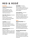## **RED & ROSÉ**

#### *Red Wine*

#### **Camino del Rey Reserve**

*6.20/25.00 Cabernet Sauvignon / Chile* Easy drinking in style and packed full of red fruit and sweet spice flavours

#### **Saint-Marc Reserva** *6.70/26.00*

*Merlot / France* Aromas of red fruits and spices. Generous and supple wine with silky tannins

**Long Row** *7.20/28.00 Shiraz / South Australia* Ripe berry and plum fruit aromas. Notes of spice and pepper dominate the nose.

#### **Chilensis Reserva** *8.20/31.00*

*Pinot Noir / Chile*

Notes of strawberry, cherry and raspberry, with an elegant spicy character that recalls rosemary and oregano.

#### **Opi Sadlier** *7.70/29.00*

*Malbec Mendoza / Argentina* The nose offers plum and black cherry notes with a touch of black pepper.

#### **Torres Ibéricos** *7.50/30.00*

*Rioja Crianza / Spain* Deep red cherry in colour. On the nose, it reveals notes of forest fruits balanced with dark toasted notes from the oak

#### *Rosé*

#### **Whispering Angel** *44.00*

*France*

White blossom aromas with hints of red fruits and the deliciously refreshing palate is dominated by summer fruits and citrusy grapefruit flavours.

#### **Domaine Montrose Rosé**

*7.70/29.00*

*Grenache-Cab Sauvignon / France* Red berries and peach flavours with spicy overtones. Elegant wine combining roundness and freshness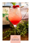#### **GIN & BUBBLES**

*Gin, Raspberry Purée, Lime Juice, Prosecco*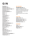# **GIN**

**Beefeater** *5.10* **Beefeater Pink** *5.70* **Beefeater Blood Orange** *5.50* **Beefeater 24** *7.80* **Bombay Sapphire** *6.20* **Bonac** *6.00* **Bloom** *6.00* **Cork Dry Gin** *5.10* **Dingle Gin** *6.00* **Glendalough** *7.00* **Gordons** *5.10* **Gunpowder** *6.50* **Hendricks** *6.70* **Method and Madness** *6.50* **Mór Irish Gin** *6.50* **Mór Pineapple Gin** *6.50* **Monkey 47** *9.50* **Ophir** *7.60* **Plymouth** *6.90* **Plymouth Sloe Gin** *6.90* **Tanqueray** *6.00* **Tanqueray Flor De Sevilla** *6.70* **Tanqueray 10** *8.90*

#### *Non-Alcoholic*

**Seedlip Spice 94** *4.80* A warm, aromatic blend of Allspice & Cardamom with fresh citrus top notes to balance the long bitter finish *Suggested pairing: Fever Tree Indian Tonic*

#### *Fever-Tree*

**Indian Tonic** *3.00* **Mediterranean Tonic** *3.00* **Naturally Light Tonic** *3.00* **Elderflower Tonic** *3.00*

#### *Schweppes*

**Tonic** *2.10* **Slimline Tonic** *2.10* **Ginger Ale** *2.15*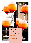

*6 or 9 glasses served in a* 

**COCKTAIL TREES**

*cocktail tree Prosecco 35.00 / 55.00*

*Gin & Bubbles 55.00 / 75.00 Starburst 55.00 / 75.00 Pornstar Martini 55.00 / 75.00*

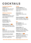# **COCKTAILS**

#### *Customer Favourite*

*Starburst 11.00* Vanilla Vodka, Gin, Lime Juice, Passion Fruit, Vanilla Syrup, Orange Juice

#### *Whiskey & Bourbon*

*Whiskey Sour 11.00* Jameson Irish Whiskey, Lemon Juice, Sugar Syrup, Aromatic Bitters, Whites

*Old Fashioned 11.00* Bourbon, Sugar Syrup, Angostura Bitters

#### *Whiskey Smash 11.00 New*

Jameson Irish Whiskey, Lemon Juice, Sugar Syrup, Mint Leaves

#### *Rum*

*Mojito 11.00* Havana Rum, Lime Juice, Sugar Syrup, Mint Leaves, Soda Water

#### *Frozen Strawberry Daiquiri*

*11.00* Havana Rum, Strawberry Purée, Lime Juice, Sugar Syrup

#### *Vodka*

*Pornstar Martini 11.00* Vanilla Vodka, Passion Fruit Purée, Prosecco, Lime Juice, Apple Juice

*Espressotini 11.00* Vanilla Vodka, Kahlua, Nitro Coffee

*Peach on the Beach 11.00 New* Peach Schnapps, Vodka, Peach Monin, Lime Juice, Orange Juice

#### *Gin*

*Gin & Bubbles 11.00* Gin, Raspberry Purée, Lime Juice, Prosecco

*Pretty in Pink 11.00* Beefeater Pink Gin, Peach Liqueur, Lime Juice, Muddled Raspberries, Mint Leaves, Fever Tree Mediterranean Tonic

#### *White Linen 11.00 New*

Hendricks Gin, Lemon Gomme, Muddled Cucumber, Egg whites, topped with Cracked Black Pepper

*Want a Non-Alcoholic or classic cocktail? Please ask your server.*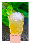#### **WHISKEY SMASH**

*Jameson Irish Whiskey, Lemon Juice, Sugar Syrup, Mint Leaves*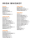### **IRISH WHISKEY**

#### *Blended*

**Blackbush** *6.50* **Bushmills** *5.20* **Fercullen 8 Yr** *8.00* **Midleton Very Rare** *21.00* **Powers** *5.20* **Teelings Small Batch** *5.60*

#### *Single Pot Still*

**Blue Spot 7 Yr** *11.00* **Greenspot** *7.60* **Powers Johns Lane** *9.00* **Powers Three Swallow** *7.00* **Powers Signature Release** *8.00* **Redbreast 12 Yr** *9.50* **Redbreast 15 Yr** *12.00* **Redbreast Lustau Edition** *11.00* **Redbreast 27 Yr** *40.00*

#### *Single Malt*

**Fercullen 14 Yr** *14.00* **Glendalough Double Barrel** *7.00* **Glendalough 7 Yr** *8.50* **Glendalough 13 Yr** *9.50* **Teelings Single Malt** *7.60*

#### *Single Grain*

**Fercullen 10 Yr** *10.00* **Midleton Barry Crocket** *23.00* **Teelings Single Grain** *6.60*

#### *Triple Blend*

**Jameson** *5.20* **Jameson Black Barrel** *7.50* **Jameson Blenders Dog** *8.50* **Jameson Cold Brew** *7.00* **Jameson Crested** *5.20* **Jameson Caskmates IPA** *6.00* **Jameson Caskmates Stout** *6.00* **Jameson Coppers Croze** *8.50* **Jameson Distillers Safe** *8.50* **Jameson 18 Yr** *20.00* **Paddy** *5.00* **Tullamore Dew** *5.50* **Yellow Spot** *10.00*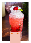#### **PRETTY IN PINK**

*Beefeater Pink Gin, Peach Liqueur, Lime Juice, Muddled Raspberries, Mint Leaves, Fever Tree Mediterranean Tonic*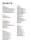### **SPIRITS**

#### *Scotch*

**Ballantines** *5.00* **Chivas Regal 12 yr** *(Blended) 5.90*  **Glenfiddich 12 yr Single Malt** *7.00* **Johnny Walker Red Label** *5.40* **Johnny Walker Black Label** *6.40*

#### *Brandy*

**Hennessey** *5.40*  **Hennessy V.S.O.P** *7.00*

#### *Bourbon*

**Canadian Club** *5.70* **Bulleit Bourbon** *5.70* **Jack Daniels** *5.70* **Jack Daniels Single Barrel** *6.00*  **Roe & Co** *6.00* **Wild Turkey** *5.50*

#### *Rum*

**Bacardi** *5.20* **Bacardi Oakhart** *5.50* **Captain Morgans** *5.50* **Havana 3 yr old** *6.00* **Havana 7 yr old** *9.00* **Havana Especial** *6.60* **Kracken Rum** *7.00*

#### *Vodka*

**Absolut** *5.10* **Absolut Citron** *6.00* **Absolut Grapefruit** *6.00* **Absolut Mango** *6.00* **Absolut Raspberry** *6.00* **Absolut Vanilla** *6.00* **Belvedere** *8.00* **Grey Goose** *9.00* **Istil38** *5.50* **Istil38 Vanilla** *6.00* **Istil38 Pink Berries** *6.00* **Ketel One** *6.50* **Smirnoff** *5.10*

#### *Shots*

**Sambuca** *5.50* **Tequila** *5.50* **Apple Sours** *5.50* **Cola Cube** *5.50* **Jägermeister** *5.50* **Baby Guinness** *5.50* **Tequila Rose** *5.50* **Black Sambuca** *5.50*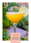#### **PEACH ON THE BEACH**

*Peach Schnapps, Vodka, Peach Monin, Lime Juice, Orange Juice*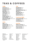### **TEAS & COFFEES**

#### *Coffee*

**Americano** *3.00* **Decaf Americano** *3.00* **Flat White** *3.25 (1)* **Macchiato** *3.00 (1)* **Cappuccino** *3.25 (1)* **Caf Mocha** *3.75 (1)* **Espresso** *2.50* **Double Espresso** *3.25* **Hot Chocolate** *4.00 (1, 6, 13)* **Kids Hot Chocolate** *3.25 (1, 6, 13)* **Bambichino** *1.75 (1)*

#### *Lattes*

**Latte** *3.25 (1)* **Caramel Latte** *4.00 (1, 13)* **Hazelnut Latte** *4.00 (1, 13, 8b)* **Vanilla Latte** *4.00 (1, 13)* **Chai Latte** *4.00 (1, 13)*

#### *Teas*

**Breakfast Tea** *2.50* **Earl Grey Tea** *2.70* **Gunpowder Green Tea** *2.70* **Mint Tea** *2.70* **Chamomile Tea** *2.70* **Red Berry Tea** *2.70* **Blackcurrant Tea** *2.70*

### *Crush Iced Coffee*

**Iced Caramel latte** *4.75 (1, 13)* **Iced Mocha** *4.75 (1)* **Iced Americano** *4.75*

#### *Iced Teas*

**Hibiscus Iced Tea** *4.75 Red berry tea and Hibiscus Syrup* **Peach Iced Tea** *4.75* **Lemon Iced Tea** *4.75*

#### **\*Allergen List**

**1** Contains Milk & milk products **2** Contains Fish **3** Contains Crustaceans **4** Contains Molluscs **5** Contains Gluten containing cereals  **5a** Wheat

 **5b** Wholemeal  **5c** Spelt  **5d** Khorason  **5e** Rye  **5f** Barley  **5g** Oats  **5h** Malt **6** Contains Egg **7** Contains Peanuts

**8** Contains Other Nuts  **8a** Almonds  **8b** Hazelnuts  **8c** Cahsews  **8d** Pecans  **8e** Brazil  **8f** Pistachio  **8g** Macedemia  **8h** Pine nuts  **8i** Walnuts

 Contains Soy inc. soya Contains Celery Contains Mustard Contains Sesame Contains Sulphur Dioxide Contains Lupin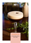#### **ESPRESSOTINI**

*Vanilla Vodka, Kahlua, Nitro Coffee*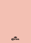